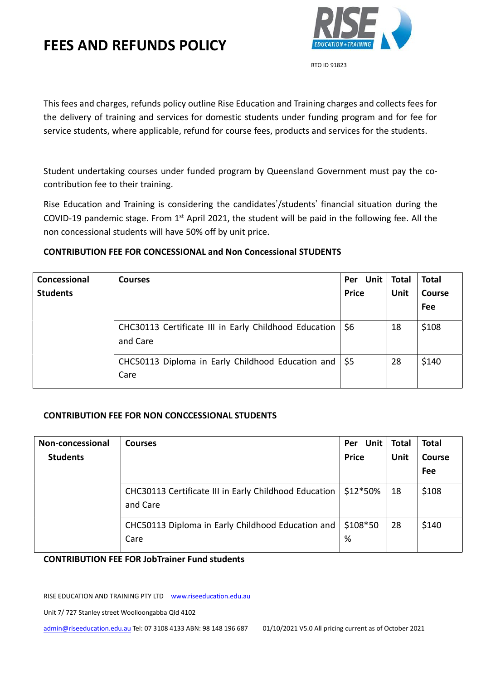

RTO ID 91823

This fees and charges, refunds policy outline Rise Education and Training charges and collects fees for the delivery of training and services for domestic students under funding program and for fee for service students, where applicable, refund for course fees, products and services for the students.

Student undertaking courses under funded program by Queensland Government must pay the cocontribution fee to their training.

Rise Education and Training is considering the candidates'/students' financial situation during the COVID-19 pandemic stage. From  $1<sup>st</sup>$  April 2021, the student will be paid in the following fee. All the non concessional students will have 50% off by unit price.

### **CONTRIBUTION FEE FOR CONCESSIONAL and Non Concessional STUDENTS**

| Concessional<br><b>Students</b> | <b>Courses</b>                                                          | Per Unit   Total<br><b>Price</b> | <b>Unit</b> | <b>Total</b><br><b>Course</b><br>Fee |
|---------------------------------|-------------------------------------------------------------------------|----------------------------------|-------------|--------------------------------------|
|                                 | CHC30113 Certificate III in Early Childhood Education<br>and Care       | \$6                              | 18          | \$108                                |
|                                 | CHC50113 Diploma in Early Childhood Education and $\frac{1}{5}$<br>Care |                                  | 28          | \$140                                |

### **CONTRIBUTION FEE FOR NON CONCCESSIONAL STUDENTS**

| Non-concessional<br><b>Students</b> | <b>Courses</b>                                                    | Per Unit   Total<br><b>Price</b> | <b>Unit</b> | <b>Total</b><br>Course<br>Fee |
|-------------------------------------|-------------------------------------------------------------------|----------------------------------|-------------|-------------------------------|
|                                     | CHC30113 Certificate III in Early Childhood Education<br>and Care | \$12*50%                         | 18          | \$108                         |
|                                     | CHC50113 Diploma in Early Childhood Education and<br>Care         | $$108*50$<br>%                   | -28         | \$140                         |

#### **CONTRIBUTION FEE FOR JobTrainer Fund students**

RISE EDUCATION AND TRAINING PTY LTD www.riseeducation.edu.au

Unit 7/ 727 Stanley street Woolloongabba Qld 4102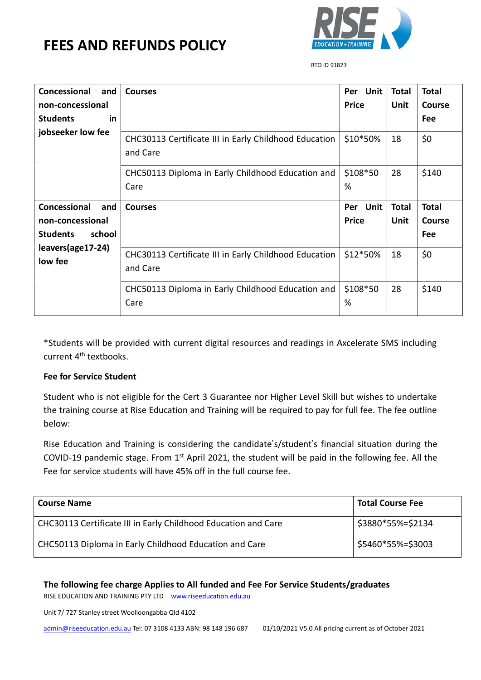

RTO ID 91823

| Concessional<br>and          | <b>Courses</b>                                                    | Per Unit      | <b>Total</b> | <b>Total</b>  |
|------------------------------|-------------------------------------------------------------------|---------------|--------------|---------------|
| non-concessional             |                                                                   | <b>Price</b>  | Unit         | <b>Course</b> |
| <b>Students</b><br>in.       |                                                                   |               |              | Fee           |
| jobseeker low fee            | CHC30113 Certificate III in Early Childhood Education<br>and Care | $$10*50\%$    | 18           | \$0           |
|                              | CHC50113 Diploma in Early Childhood Education and<br>Care         | \$108*50<br>% | 28           | \$140         |
| Concessional<br>and          | <b>Courses</b>                                                    | Unit<br>Per   | <b>Total</b> | <b>Total</b>  |
| non-concessional             |                                                                   | <b>Price</b>  | Unit         | <b>Course</b> |
| school<br><b>Students</b>    |                                                                   |               |              | Fee           |
| leavers(age17-24)<br>low fee | CHC30113 Certificate III in Early Childhood Education<br>and Care | \$12*50%      | 18           | \$0           |
|                              | CHC50113 Diploma in Early Childhood Education and<br>Care         | \$108*50<br>% | 28           | \$140         |

\*Students will be provided with current digital resources and readings in Axcelerate SMS including current 4<sup>th</sup> textbooks.

#### **Fee for Service Student**

Student who is not eligible for the Cert 3 Guarantee nor Higher Level Skill but wishes to undertake the training course at Rise Education and Training will be required to pay for full fee. The fee outline below:

Rise Education and Training is considering the candidate's/student's financial situation during the COVID-19 pandemic stage. From 1<sup>st</sup> April 2021, the student will be paid in the following fee. All the Fee for service students will have 45% off in the full course fee.

| <b>Course Name</b>                                             | <b>Total Course Fee</b> |
|----------------------------------------------------------------|-------------------------|
| CHC30113 Certificate III in Early Childhood Education and Care | \$3880*55%=\$2134       |
| CHC50113 Diploma in Early Childhood Education and Care         | \$5460*55%=\$3003       |

**The following fee charge Applies to All funded and Fee For Service Students/graduates**

RISE EDUCATION AND TRAINING PTY LTD www.riseeducation.edu.au

Unit 7/ 727 Stanley street Woolloongabba Qld 4102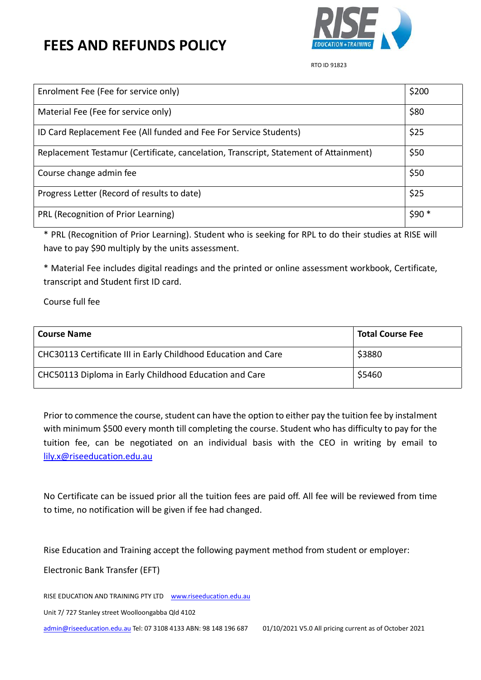

RTO ID 91823

| Enrolment Fee (Fee for service only)                                                 | \$200  |
|--------------------------------------------------------------------------------------|--------|
| Material Fee (Fee for service only)                                                  | \$80   |
| ID Card Replacement Fee (All funded and Fee For Service Students)                    | \$25   |
| Replacement Testamur (Certificate, cancelation, Transcript, Statement of Attainment) | \$50   |
| Course change admin fee                                                              | \$50   |
| Progress Letter (Record of results to date)                                          | \$25   |
| PRL (Recognition of Prior Learning)                                                  | $$90*$ |

\* PRL (Recognition of Prior Learning). Student who is seeking for RPL to do their studies at RISE will have to pay \$90 multiply by the units assessment.

\* Material Fee includes digital readings and the printed or online assessment workbook, Certificate, transcript and Student first ID card.

Course full fee

| <b>Course Name</b>                                             | <b>Total Course Fee</b> |
|----------------------------------------------------------------|-------------------------|
| CHC30113 Certificate III in Early Childhood Education and Care | \$3880                  |
| CHC50113 Diploma in Early Childhood Education and Care         | \$5460                  |

Prior to commence the course, student can have the option to either pay the tuition fee by instalment with minimum \$500 every month till completing the course. Student who has difficulty to pay for the tuition fee, can be negotiated on an individual basis with the CEO in writing by email to [lily.x@riseeducation.edu.au](mailto:lily.x@riseeducation.edu.au) 

No Certificate can be issued prior all the tuition fees are paid off. All fee will be reviewed from time to time, no notification will be given if fee had changed.

Rise Education and Training accept the following payment method from student or employer:

Electronic Bank Transfer (EFT)

RISE EDUCATION AND TRAINING PTY LTD www.riseeducation.edu.au

Unit 7/ 727 Stanley street Woolloongabba Qld 4102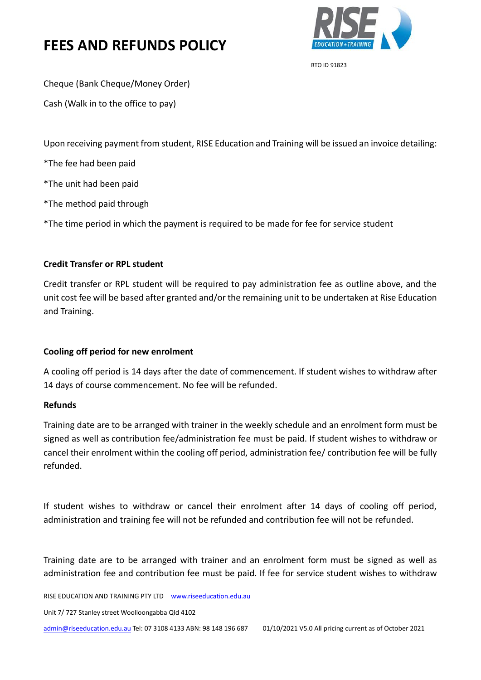

RTO ID 91823

Cheque (Bank Cheque/Money Order)

Cash (Walk in to the office to pay)

Upon receiving payment from student, RISE Education and Training will be issued an invoice detailing:

\*The fee had been paid

\*The unit had been paid

\*The method paid through

\*The time period in which the payment is required to be made for fee for service student

#### **Credit Transfer or RPL student**

Credit transfer or RPL student will be required to pay administration fee as outline above, and the unit cost fee will be based after granted and/or the remaining unit to be undertaken at Rise Education and Training.

### **Cooling off period for new enrolment**

A cooling off period is 14 days after the date of commencement. If student wishes to withdraw after 14 days of course commencement. No fee will be refunded.

#### **Refunds**

Training date are to be arranged with trainer in the weekly schedule and an enrolment form must be signed as well as contribution fee/administration fee must be paid. If student wishes to withdraw or cancel their enrolment within the cooling off period, administration fee/ contribution fee will be fully refunded.

If student wishes to withdraw or cancel their enrolment after 14 days of cooling off period, administration and training fee will not be refunded and contribution fee will not be refunded.

Training date are to be arranged with trainer and an enrolment form must be signed as well as administration fee and contribution fee must be paid. If fee for service student wishes to withdraw

RISE EDUCATION AND TRAINING PTY LTD www.riseeducation.edu.au

Unit 7/ 727 Stanley street Woolloongabba Qld 4102